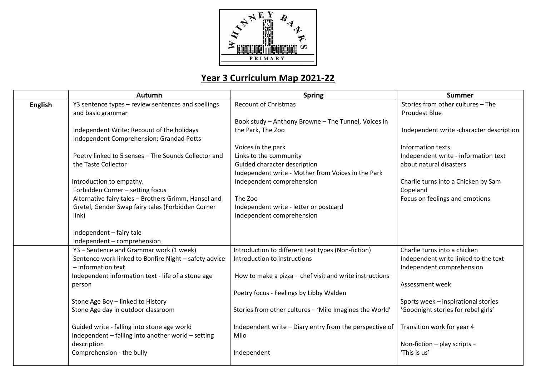

## **Year 3 Curriculum Map 2021-22**

|                | Autumn                                                                                                    | <b>Spring</b>                                                                      | <b>Summer</b>                                             |
|----------------|-----------------------------------------------------------------------------------------------------------|------------------------------------------------------------------------------------|-----------------------------------------------------------|
| <b>English</b> | Y3 sentence types - review sentences and spellings<br>and basic grammar                                   | <b>Recount of Christmas</b>                                                        | Stories from other cultures - The<br><b>Proudest Blue</b> |
|                |                                                                                                           | Book study - Anthony Browne - The Tunnel, Voices in                                |                                                           |
|                | Independent Write: Recount of the holidays<br>Independent Comprehension: Grandad Potts                    | the Park, The Zoo                                                                  | Independent write -character description                  |
|                |                                                                                                           | Voices in the park                                                                 | Information texts                                         |
|                | Poetry linked to 5 senses - The Sounds Collector and                                                      | Links to the community                                                             | Independent write - information text                      |
|                | the Taste Collector                                                                                       | Guided character description<br>Independent write - Mother from Voices in the Park | about natural disasters                                   |
|                | Introduction to empathy.<br>Forbidden Corner - setting focus                                              | Independent comprehension                                                          | Charlie turns into a Chicken by Sam<br>Copeland           |
|                | Alternative fairy tales - Brothers Grimm, Hansel and<br>Gretel, Gender Swap fairy tales (Forbidden Corner | The Zoo<br>Independent write - letter or postcard                                  | Focus on feelings and emotions                            |
|                | link)                                                                                                     | Independent comprehension                                                          |                                                           |
|                | Independent - fairy tale<br>Independent - comprehension                                                   |                                                                                    |                                                           |
|                | Y3 - Sentence and Grammar work (1 week)                                                                   | Introduction to different text types (Non-fiction)                                 | Charlie turns into a chicken                              |
|                | Sentence work linked to Bonfire Night - safety advice                                                     | Introduction to instructions                                                       | Independent write linked to the text                      |
|                | $-$ information text                                                                                      |                                                                                    | Independent comprehension                                 |
|                | Independent information text - life of a stone age                                                        | How to make a pizza - chef visit and write instructions                            |                                                           |
|                | person                                                                                                    |                                                                                    | Assessment week                                           |
|                |                                                                                                           | Poetry focus - Feelings by Libby Walden                                            |                                                           |
|                | Stone Age Boy - linked to History                                                                         |                                                                                    | Sports week - inspirational stories                       |
|                | Stone Age day in outdoor classroom                                                                        | Stories from other cultures - 'Milo Imagines the World'                            | 'Goodnight stories for rebel girls'                       |
|                | Guided write - falling into stone age world<br>Independent - falling into another world - setting         | Independent write - Diary entry from the perspective of<br>Milo                    | Transition work for year 4                                |
|                | description                                                                                               |                                                                                    | Non-fiction $-$ play scripts $-$                          |
|                | Comprehension - the bully                                                                                 | Independent                                                                        | 'This is us'                                              |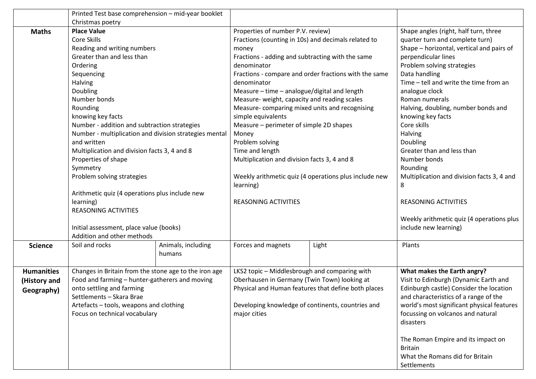|                   | Printed Test base comprehension - mid-year booklet     |                           |                                                       |                                                     |                                            |  |
|-------------------|--------------------------------------------------------|---------------------------|-------------------------------------------------------|-----------------------------------------------------|--------------------------------------------|--|
|                   | Christmas poetry                                       |                           |                                                       |                                                     |                                            |  |
| <b>Maths</b>      | <b>Place Value</b>                                     |                           | Properties of number P.V. review)                     |                                                     | Shape angles (right, half turn, three      |  |
|                   | Core Skills                                            |                           | Fractions (counting in 10s) and decimals related to   |                                                     | quarter turn and complete turn)            |  |
|                   | Reading and writing numbers                            |                           | money                                                 |                                                     | Shape - horizontal, vertical and pairs of  |  |
|                   | Greater than and less than                             |                           | Fractions - adding and subtracting with the same      |                                                     | perpendicular lines                        |  |
|                   | Ordering                                               |                           | denominator                                           |                                                     | Problem solving strategies                 |  |
|                   | Sequencing                                             |                           | Fractions - compare and order fractions with the same |                                                     | Data handling                              |  |
|                   | Halving                                                |                           | denominator                                           |                                                     | Time - tell and write the time from an     |  |
|                   | Doubling                                               |                           | Measure - time - analogue/digital and length          |                                                     | analogue clock                             |  |
|                   | Number bonds                                           |                           | Measure- weight, capacity and reading scales          |                                                     | Roman numerals                             |  |
|                   | Rounding                                               |                           | Measure-comparing mixed units and recognising         |                                                     | Halving, doubling, number bonds and        |  |
|                   | knowing key facts                                      |                           | simple equivalents                                    |                                                     | knowing key facts                          |  |
|                   | Number - addition and subtraction strategies           |                           | Measure - perimeter of simple 2D shapes               |                                                     | Core skills                                |  |
|                   | Number - multiplication and division strategies mental |                           | Money                                                 |                                                     | Halving                                    |  |
|                   | and written                                            |                           | Problem solving                                       |                                                     | Doubling                                   |  |
|                   | Multiplication and division facts 3, 4 and 8           |                           | Time and length                                       |                                                     | Greater than and less than                 |  |
|                   | Properties of shape                                    |                           | Multiplication and division facts 3, 4 and 8          |                                                     | Number bonds                               |  |
|                   | Symmetry                                               |                           |                                                       |                                                     | Rounding                                   |  |
|                   | Problem solving strategies                             |                           | Weekly arithmetic quiz (4 operations plus include new |                                                     | Multiplication and division facts 3, 4 and |  |
|                   |                                                        |                           | learning)                                             |                                                     | 8                                          |  |
|                   | Arithmetic quiz (4 operations plus include new         |                           |                                                       |                                                     |                                            |  |
|                   | learning)                                              |                           | <b>REASONING ACTIVITIES</b>                           |                                                     | <b>REASONING ACTIVITIES</b>                |  |
|                   | <b>REASONING ACTIVITIES</b>                            |                           |                                                       |                                                     |                                            |  |
|                   |                                                        |                           |                                                       |                                                     | Weekly arithmetic quiz (4 operations plus  |  |
|                   | Initial assessment, place value (books)                |                           |                                                       |                                                     | include new learning)                      |  |
|                   | Addition and other methods                             |                           |                                                       |                                                     |                                            |  |
| <b>Science</b>    | Soil and rocks                                         | Animals, including        | Forces and magnets                                    | Light                                               | Plants                                     |  |
|                   |                                                        | humans                    |                                                       |                                                     |                                            |  |
|                   |                                                        |                           |                                                       |                                                     |                                            |  |
| <b>Humanities</b> | Changes in Britain from the stone age to the iron age  |                           | LKS2 topic - Middlesbrough and comparing with         |                                                     | What makes the Earth angry?                |  |
| (History and      | Food and farming - hunter-gatherers and moving         |                           | Oberhausen in Germany (Twin Town) looking at          |                                                     | Visit to Edinburgh (Dynamic Earth and      |  |
| Geography)        |                                                        | onto settling and farming |                                                       | Physical and Human features that define both places | Edinburgh castle) Consider the location    |  |
|                   | Settlements - Skara Brae                               |                           | Developing knowledge of continents, countries and     |                                                     | and characteristics of a range of the      |  |
|                   | Artefacts - tools, weapons and clothing                |                           |                                                       |                                                     | world's most significant physical features |  |
|                   | Focus on technical vocabulary                          |                           | major cities                                          |                                                     | focussing on volcanos and natural          |  |
|                   |                                                        |                           |                                                       |                                                     | disasters                                  |  |
|                   |                                                        |                           |                                                       |                                                     |                                            |  |
|                   |                                                        |                           |                                                       |                                                     | The Roman Empire and its impact on         |  |
|                   |                                                        |                           |                                                       |                                                     | <b>Britain</b>                             |  |
|                   |                                                        |                           |                                                       |                                                     | What the Romans did for Britain            |  |
|                   |                                                        |                           |                                                       |                                                     | Settlements                                |  |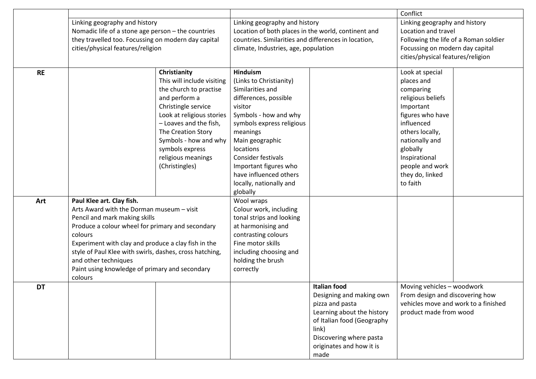|           |                                                                                                                                                                                                                                                                                                                                                                               |                                                                                                                                                                                                                                                                               |                                                                                                                                                                                                                                                                                                                             | Conflict                                                                                                                                                                                               |                                                                                                                                                                                                                                    |  |
|-----------|-------------------------------------------------------------------------------------------------------------------------------------------------------------------------------------------------------------------------------------------------------------------------------------------------------------------------------------------------------------------------------|-------------------------------------------------------------------------------------------------------------------------------------------------------------------------------------------------------------------------------------------------------------------------------|-----------------------------------------------------------------------------------------------------------------------------------------------------------------------------------------------------------------------------------------------------------------------------------------------------------------------------|--------------------------------------------------------------------------------------------------------------------------------------------------------------------------------------------------------|------------------------------------------------------------------------------------------------------------------------------------------------------------------------------------------------------------------------------------|--|
|           | Linking geography and history<br>Nomadic life of a stone age person - the countries<br>they travelled too. Focussing on modern day capital<br>cities/physical features/religion                                                                                                                                                                                               |                                                                                                                                                                                                                                                                               | Linking geography and history<br>Location of both places in the world, continent and<br>countries. Similarities and differences in location,<br>climate, Industries, age, population                                                                                                                                        |                                                                                                                                                                                                        | Linking geography and history<br>Location and travel<br>Following the life of a Roman soldier<br>Focussing on modern day capital<br>cities/physical features/religion                                                              |  |
| <b>RE</b> |                                                                                                                                                                                                                                                                                                                                                                               | Christianity<br>This will include visiting<br>the church to practise<br>and perform a<br>Christingle service<br>Look at religious stories<br>- Loaves and the fish,<br>The Creation Story<br>Symbols - how and why<br>symbols express<br>religious meanings<br>(Christingles) | <b>Hinduism</b><br>(Links to Christianity)<br>Similarities and<br>differences, possible<br>visitor<br>Symbols - how and why<br>symbols express religious<br>meanings<br>Main geographic<br>locations<br><b>Consider festivals</b><br>Important figures who<br>have influenced others<br>locally, nationally and<br>globally |                                                                                                                                                                                                        | Look at special<br>places and<br>comparing<br>religious beliefs<br>Important<br>figures who have<br>influenced<br>others locally,<br>nationally and<br>globally<br>Inspirational<br>people and work<br>they do, linked<br>to faith |  |
| Art       | Paul Klee art. Clay fish.<br>Arts Award with the Dorman museum - visit<br>Pencil and mark making skills<br>Produce a colour wheel for primary and secondary<br>colours<br>Experiment with clay and produce a clay fish in the<br>style of Paul Klee with swirls, dashes, cross hatching,<br>and other techniques<br>Paint using knowledge of primary and secondary<br>colours |                                                                                                                                                                                                                                                                               | Wool wraps<br>Colour work, including<br>tonal strips and looking<br>at harmonising and<br>contrasting colours<br>Fine motor skills<br>including choosing and<br>holding the brush<br>correctly                                                                                                                              |                                                                                                                                                                                                        |                                                                                                                                                                                                                                    |  |
| <b>DT</b> |                                                                                                                                                                                                                                                                                                                                                                               |                                                                                                                                                                                                                                                                               |                                                                                                                                                                                                                                                                                                                             | <b>Italian food</b><br>Designing and making own<br>pizza and pasta<br>Learning about the history<br>of Italian food (Geography<br>link)<br>Discovering where pasta<br>originates and how it is<br>made | Moving vehicles - woodwork<br>From design and discovering how<br>vehicles move and work to a finished<br>product made from wood                                                                                                    |  |